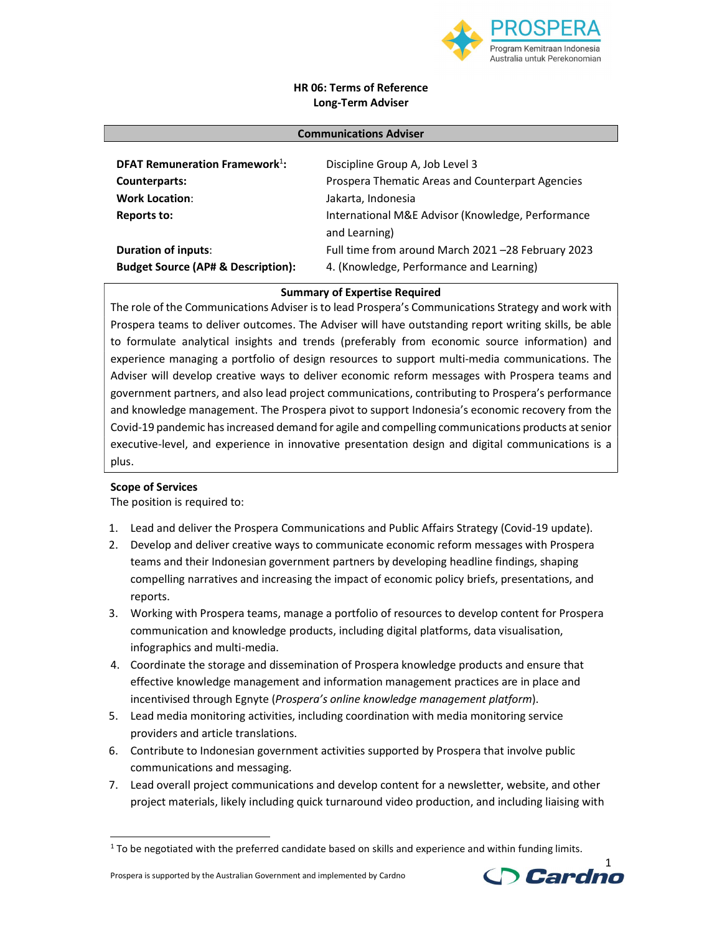

## HR 06: Terms of Reference Long-Term Adviser

| <b>Communications Adviser</b>                                               |                                                                                               |
|-----------------------------------------------------------------------------|-----------------------------------------------------------------------------------------------|
| <b>DFAT Remuneration Framework</b> <sup>1</sup> :                           | Discipline Group A, Job Level 3                                                               |
| Counterparts:                                                               | Prospera Thematic Areas and Counterpart Agencies                                              |
| <b>Work Location:</b>                                                       | Jakarta, Indonesia                                                                            |
| Reports to:                                                                 | International M&E Advisor (Knowledge, Performance<br>and Learning)                            |
| <b>Duration of inputs:</b><br><b>Budget Source (AP# &amp; Description):</b> | Full time from around March 2021-28 February 2023<br>4. (Knowledge, Performance and Learning) |

**Summary of Expertise Required**<br>The role of the Communications Adviser is to lead Prospera's Communications Strategy and work with Prospera teams to deliver outcomes. The Adviser will have outstanding report writing skills, be able to formulate analytical insights and trends (preferably from economic source information) and experience managing a portfolio of design resources to support multi-media communications. The Adviser will develop creative ways to deliver economic reform messages with Prospera teams and government partners, and also lead project communications, contributing to Prospera's performance and knowledge management. The Prospera pivot to support Indonesia's economic recovery from the Covid-19 pandemic has increased demand for agile and compelling communications products at senior executive-level, and experience in innovative presentation design and digital communications is a plus.

### Scope of Services

The position is required to:

- 1. Lead and deliver the Prospera Communications and Public Affairs Strategy (Covid-19 update).
- 2. Develop and deliver creative ways to communicate economic reform messages with Prospera teams and their Indonesian government partners by developing headline findings, shaping compelling narratives and increasing the impact of economic policy briefs, presentations, and reports.
- 3. Working with Prospera teams, manage a portfolio of resources to develop content for Prospera communication and knowledge products, including digital platforms, data visualisation, infographics and multi-media.
- 4. Coordinate the storage and dissemination of Prospera knowledge products and ensure that effective knowledge management and information management practices are in place and incentivised through Egnyte (Prospera's online knowledge management platform).
- 5. Lead media monitoring activities, including coordination with media monitoring service providers and article translations.
- 6. Contribute to Indonesian government activities supported by Prospera that involve public communications and messaging.
- 7. Lead overall project communications and develop content for a newsletter, website, and other project materials, likely including quick turnaround video production, and including liaising with 1



 $1$  To be negotiated with the preferred candidate based on skills and experience and within funding limits.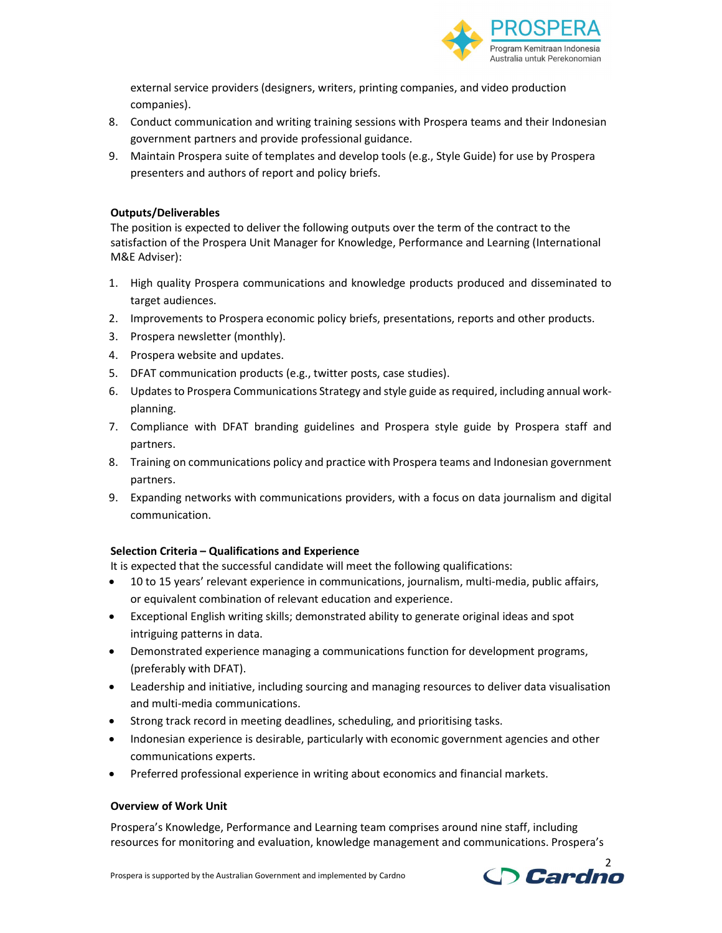

external service providers (designers, writers, printing companies, and video production companies).

- 8. Conduct communication and writing training sessions with Prospera teams and their Indonesian government partners and provide professional guidance.
- 9. Maintain Prospera suite of templates and develop tools (e.g., Style Guide) for use by Prospera presenters and authors of report and policy briefs.

### Outputs/Deliverables

The position is expected to deliver the following outputs over the term of the contract to the satisfaction of the Prospera Unit Manager for Knowledge, Performance and Learning (International M&E Adviser):

- 1. High quality Prospera communications and knowledge products produced and disseminated to target audiences.
- 2. Improvements to Prospera economic policy briefs, presentations, reports and other products.
- 3. Prospera newsletter (monthly).
- 4. Prospera website and updates.
- 5. DFAT communication products (e.g., twitter posts, case studies).
- 6. Updates to Prospera Communications Strategy and style guide as required, including annual workplanning.
- 7. Compliance with DFAT branding guidelines and Prospera style guide by Prospera staff and partners.
- 8. Training on communications policy and practice with Prospera teams and Indonesian government partners.
- 9. Expanding networks with communications providers, with a focus on data journalism and digital communication.

### Selection Criteria – Qualifications and Experience

It is expected that the successful candidate will meet the following qualifications:

- 10 to 15 years' relevant experience in communications, journalism, multi-media, public affairs, or equivalent combination of relevant education and experience.
- Exceptional English writing skills; demonstrated ability to generate original ideas and spot intriguing patterns in data.
- Demonstrated experience managing a communications function for development programs, (preferably with DFAT).
- Leadership and initiative, including sourcing and managing resources to deliver data visualisation and multi-media communications.
- Strong track record in meeting deadlines, scheduling, and prioritising tasks.
- Indonesian experience is desirable, particularly with economic government agencies and other communications experts.
- Preferred professional experience in writing about economics and financial markets.

### Overview of Work Unit

Prospera's Knowledge, Performance and Learning team comprises around nine staff, including resources for monitoring and evaluation, knowledge management and communications. Prospera's

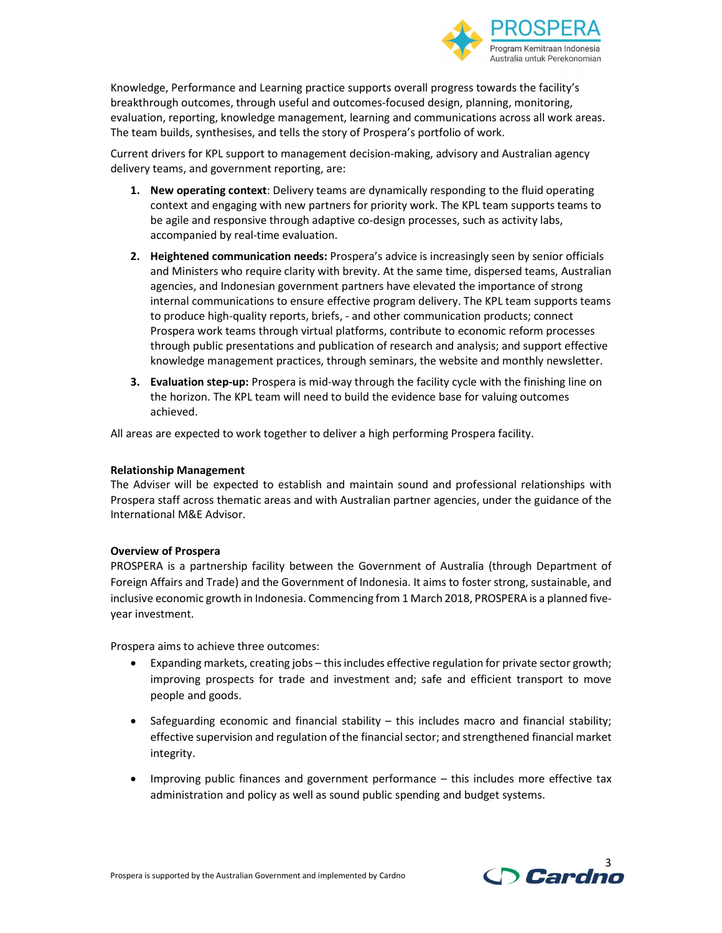

Knowledge, Performance and Learning practice supports overall progress towards the facility's breakthrough outcomes, through useful and outcomes-focused design, planning, monitoring, evaluation, reporting, knowledge management, learning and communications across all work areas. The team builds, synthesises, and tells the story of Prospera's portfolio of work.

Current drivers for KPL support to management decision-making, advisory and Australian agency delivery teams, and government reporting, are:

- 1. New operating context: Delivery teams are dynamically responding to the fluid operating context and engaging with new partners for priority work. The KPL team supports teams to be agile and responsive through adaptive co-design processes, such as activity labs, accompanied by real-time evaluation.
- 2. Heightened communication needs: Prospera's advice is increasingly seen by senior officials and Ministers who require clarity with brevity. At the same time, dispersed teams, Australian agencies, and Indonesian government partners have elevated the importance of strong internal communications to ensure effective program delivery. The KPL team supports teams to produce high-quality reports, briefs, - and other communication products; connect Prospera work teams through virtual platforms, contribute to economic reform processes through public presentations and publication of research and analysis; and support effective knowledge management practices, through seminars, the website and monthly newsletter.
- **3. Evaluation step-up:** Prospera is mid-way through the facility cycle with the finishing line on the horizon. The KPL team will need to build the evidence base for valuing outcomes achieved.

All areas are expected to work together to deliver a high performing Prospera facility.

#### Relationship Management

The Adviser will be expected to establish and maintain sound and professional relationships with Prospera staff across thematic areas and with Australian partner agencies, under the guidance of the International M&E Advisor.

### Overview of Prospera

PROSPERA is a partnership facility between the Government of Australia (through Department of Foreign Affairs and Trade) and the Government of Indonesia. It aims to foster strong, sustainable, and inclusive economic growth in Indonesia. Commencing from 1 March 2018, PROSPERA is a planned fiveyear investment.

Prospera aims to achieve three outcomes:

- Expanding markets, creating jobs this includes effective regulation for private sector growth; improving prospects for trade and investment and; safe and efficient transport to move people and goods.
- $\bullet$  Safeguarding economic and financial stability this includes macro and financial stability; effective supervision and regulation of the financial sector; and strengthened financial market integrity.
- Improving public finances and government performance this includes more effective tax administration and policy as well as sound public spending and budget systems.